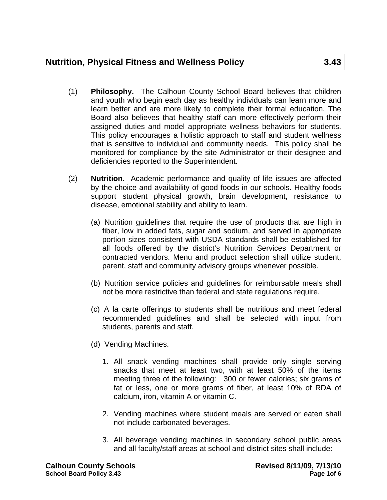- (1) **Philosophy.** The Calhoun County School Board believes that children and youth who begin each day as healthy individuals can learn more and learn better and are more likely to complete their formal education. The Board also believes that healthy staff can more effectively perform their assigned duties and model appropriate wellness behaviors for students. This policy encourages a holistic approach to staff and student wellness that is sensitive to individual and community needs. This policy shall be monitored for compliance by the site Administrator or their designee and deficiencies reported to the Superintendent.
- (2) **Nutrition.** Academic performance and quality of life issues are affected by the choice and availability of good foods in our schools. Healthy foods support student physical growth, brain development, resistance to disease, emotional stability and ability to learn.
	- (a) Nutrition guidelines that require the use of products that are high in fiber, low in added fats, sugar and sodium, and served in appropriate portion sizes consistent with USDA standards shall be established for all foods offered by the district's Nutrition Services Department or contracted vendors. Menu and product selection shall utilize student, parent, staff and community advisory groups whenever possible.
	- (b) Nutrition service policies and guidelines for reimbursable meals shall not be more restrictive than federal and state regulations require.
	- (c) A la carte offerings to students shall be nutritious and meet federal recommended guidelines and shall be selected with input from students, parents and staff.
	- (d) Vending Machines.
		- 1. All snack vending machines shall provide only single serving snacks that meet at least two, with at least 50% of the items meeting three of the following: 300 or fewer calories; six grams of fat or less, one or more grams of fiber, at least 10% of RDA of calcium, iron, vitamin A or vitamin C.
		- 2. Vending machines where student meals are served or eaten shall not include carbonated beverages.
		- 3. All beverage vending machines in secondary school public areas and all faculty/staff areas at school and district sites shall include: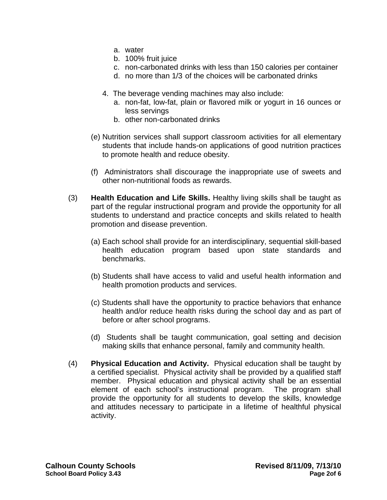- a. water
- b. 100% fruit juice
- c. non-carbonated drinks with less than 150 calories per container
- d. no more than 1/3 of the choices will be carbonated drinks
- 4. The beverage vending machines may also include:
	- a. non-fat, low-fat, plain or flavored milk or yogurt in 16 ounces or less servings
	- b. other non-carbonated drinks
- (e) Nutrition services shall support classroom activities for all elementary students that include hands-on applications of good nutrition practices to promote health and reduce obesity.
- (f) Administrators shall discourage the inappropriate use of sweets and other non-nutritional foods as rewards.
- (3) **Health Education and Life Skills.** Healthy living skills shall be taught as part of the regular instructional program and provide the opportunity for all students to understand and practice concepts and skills related to health promotion and disease prevention.
	- (a) Each school shall provide for an interdisciplinary, sequential skill-based health education program based upon state standards and benchmarks.
	- (b) Students shall have access to valid and useful health information and health promotion products and services.
	- (c) Students shall have the opportunity to practice behaviors that enhance health and/or reduce health risks during the school day and as part of before or after school programs.
	- (d) Students shall be taught communication, goal setting and decision making skills that enhance personal, family and community health.
- (4) **Physical Education and Activity.** Physical education shall be taught by a certified specialist. Physical activity shall be provided by a qualified staff member. Physical education and physical activity shall be an essential element of each school's instructional program. The program shall provide the opportunity for all students to develop the skills, knowledge and attitudes necessary to participate in a lifetime of healthful physical activity.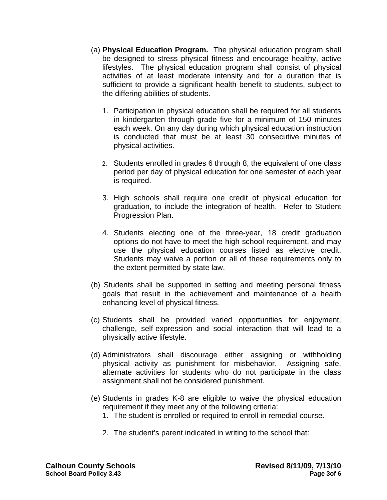- (a) **Physical Education Program.** The physical education program shall be designed to stress physical fitness and encourage healthy, active lifestyles. The physical education program shall consist of physical activities of at least moderate intensity and for a duration that is sufficient to provide a significant health benefit to students, subject to the differing abilities of students.
	- 1. Participation in physical education shall be required for all students in kindergarten through grade five for a minimum of 150 minutes each week. On any day during which physical education instruction is conducted that must be at least 30 consecutive minutes of physical activities.
	- 2. Students enrolled in grades 6 through 8, the equivalent of one class period per day of physical education for one semester of each year is required.
	- 3. High schools shall require one credit of physical education for graduation, to include the integration of health. Refer to Student Progression Plan.
	- 4. Students electing one of the three-year, 18 credit graduation options do not have to meet the high school requirement, and may use the physical education courses listed as elective credit. Students may waive a portion or all of these requirements only to the extent permitted by state law.
- (b) Students shall be supported in setting and meeting personal fitness goals that result in the achievement and maintenance of a health enhancing level of physical fitness.
- (c) Students shall be provided varied opportunities for enjoyment, challenge, self-expression and social interaction that will lead to a physically active lifestyle.
- (d) Administrators shall discourage either assigning or withholding physical activity as punishment for misbehavior. Assigning safe, alternate activities for students who do not participate in the class assignment shall not be considered punishment.
- (e) Students in grades K-8 are eligible to waive the physical education requirement if they meet any of the following criteria:
	- 1. The student is enrolled or required to enroll in remedial course.
	- 2. The student's parent indicated in writing to the school that: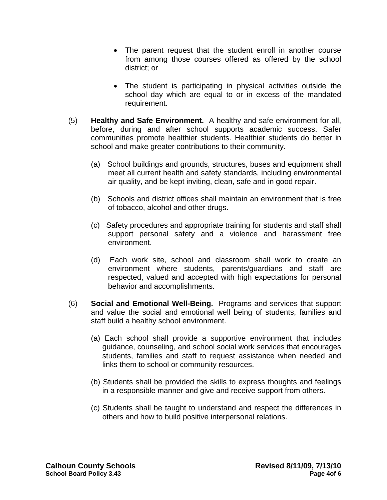- The parent request that the student enroll in another course from among those courses offered as offered by the school district; or
- The student is participating in physical activities outside the school day which are equal to or in excess of the mandated requirement.
- (5) **Healthy and Safe Environment.** A healthy and safe environment for all, before, during and after school supports academic success. Safer communities promote healthier students. Healthier students do better in school and make greater contributions to their community.
	- (a)School buildings and grounds, structures, buses and equipment shall meet all current health and safety standards, including environmental air quality, and be kept inviting, clean, safe and in good repair.
	- (b) Schools and district offices shall maintain an environment that is free of tobacco, alcohol and other drugs.
	- (c) Safety procedures and appropriate training for students and staff shall support personal safety and a violence and harassment free environment.
	- (d) Each work site, school and classroom shall work to create an environment where students, parents/guardians and staff are respected, valued and accepted with high expectations for personal behavior and accomplishments.
- (6) **Social and Emotional Well-Being.** Programs and services that support and value the social and emotional well being of students, families and staff build a healthy school environment.
	- (a) Each school shall provide a supportive environment that includes guidance, counseling, and school social work services that encourages students, families and staff to request assistance when needed and links them to school or community resources.
	- (b) Students shall be provided the skills to express thoughts and feelings in a responsible manner and give and receive support from others.
	- (c) Students shall be taught to understand and respect the differences in others and how to build positive interpersonal relations.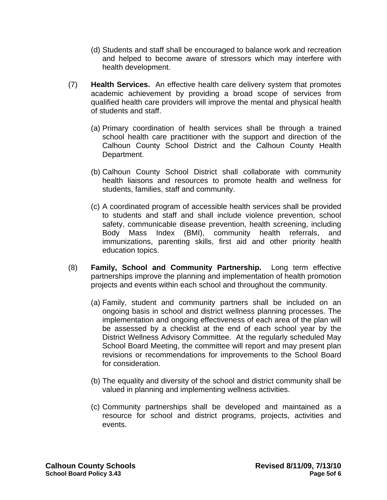- (d) Students and staff shall be encouraged to balance work and recreation and helped to become aware of stressors which may interfere with health development.
- (7) **Health Services.** An effective health care delivery system that promotes academic achievement by providing a broad scope of services from qualified health care providers will improve the mental and physical health of students and staff.
	- (a) Primary coordination of health services shall be through a trained school health care practitioner with the support and direction of the Calhoun County School District and the Calhoun County Health Department.
	- (b) Calhoun County School District shall collaborate with community health liaisons and resources to promote health and wellness for students, families, staff and community.
	- (c) A coordinated program of accessible health services shall be provided to students and staff and shall include violence prevention, school safety, communicable disease prevention, health screening, including Body Mass Index (BMI), community health referrals, and immunizations, parenting skills, first aid and other priority health education topics.
- (8) **Family, School and Community Partnership.** Long term effective partnerships improve the planning and implementation of health promotion projects and events within each school and throughout the community.
	- (a) Family, student and community partners shall be included on an ongoing basis in school and district wellness planning processes. The implementation and ongoing effectiveness of each area of the plan will be assessed by a checklist at the end of each school year by the District Wellness Advisory Committee. At the regularly scheduled May School Board Meeting, the committee will report and may present plan revisions or recommendations for improvements to the School Board for consideration.
	- (b) The equality and diversity of the school and district community shall be valued in planning and implementing wellness activities.
	- (c) Community partnerships shall be developed and maintained as a resource for school and district programs, projects, activities and events.